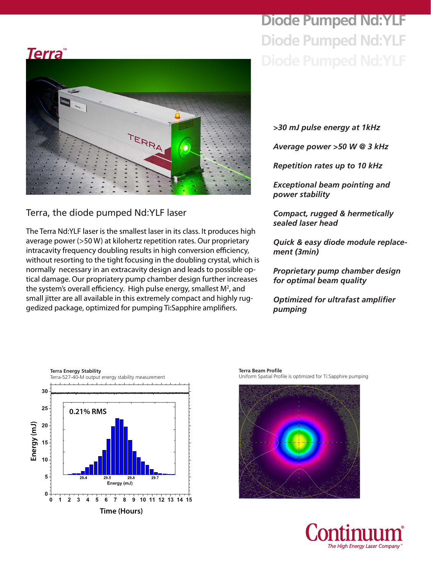# **Diode Pumped Nd:YLF Diode Pumped Nd:YLF**





## Terra, the diode pumped Nd:YLF laser

The Terra Nd:YLF laser is the smallest laser in its class. It produces high average power (>50 W) at kilohertz repetition rates. Our proprietary intracavity frequency doubling results in high conversion efficiency, without resorting to the tight focusing in the doubling crystal, which is normally necessary in an extracavity design and leads to possible optical damage. Our propriatery pump chamber design further increases the system's overall efficiency. High pulse energy, smallest  $M^2$ , and small jitter are all available in this extremely compact and highly ruggedized package, optimized for pumping Ti:Sapphire amplifiers.

*>30 mJ pulse energy at 1kHz*

*Average power >50 W @ 3 kHz*

*Repetition rates up to 10 kHz*

*Exceptional beam pointing and power stability*

*Compact, rugged & hermetically sealed laser head*

*Quick & easy diode module replacement (3min)* 

*Proprietary pump chamber design for optimal beam quality*

*Optimized for ultrafast amplifier pumping*



**Terra Beam Profile** Uniform Spatial Profile is optimized for Ti:Sapphire pumping



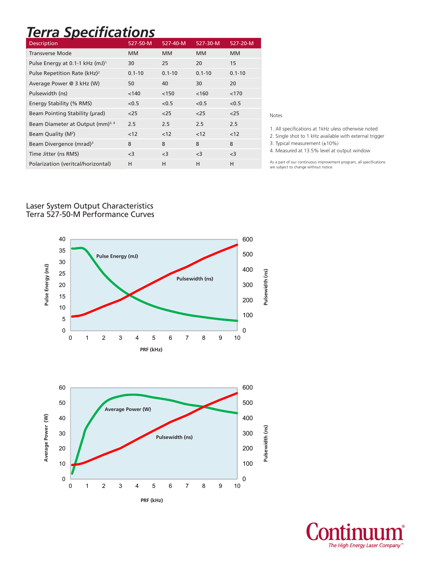# *Terra Specifications*

| <b>Description</b>                           | 527-50-M   | 527-40-M   | 527-30-M   | 527-20-M   |
|----------------------------------------------|------------|------------|------------|------------|
| Transverse Mode                              | <b>MM</b>  | <b>MM</b>  | <b>MM</b>  | <b>MM</b>  |
| Pulse Energy at 0.1-1 kHz (mJ) <sup>1</sup>  | 30         | 25         | 20         | 15         |
| Pulse Repetition Rate (kHz) <sup>2</sup>     | $0.1 - 10$ | $0.1 - 10$ | $0.1 - 10$ | $0.1 - 10$ |
| Average Power @ 3 kHz (W)                    | 50         | 40         | 30         | 20         |
| Pulsewidth (ns)                              | < 140      | < 150      | < 160      | < 170      |
| Energy Stability (% RMS)                     | < 0.5      | < 0.5      | < 0.5      | < 0.5      |
| Beam Pointing Stability (urad)               | $25$       | $25$       | $25$       | $25$       |
| Beam Diameter at Output (mm) <sup>3, 4</sup> | 2.5        | 2.5        | 2.5        | 2.5        |
| Beam Quality (M <sup>2</sup> )               | < 12       | < 12       | < 12       | < 12       |
| Beam Divergence (mrad) <sup>3</sup>          | 8          | 8          | 8          | 8          |
| Time Jitter (ns RMS)                         | $<$ 3      | $<$ 3      | $<$ 3      | $<$ 3      |
| Polarization (veritcal/horizontal)           | H          | н          | н          | н          |

Notes

1. All specifications at 1kHz uless otherwise noted

2. Single shot to 1 kHz available with external trigger

3. Typical measurement (±10%)

4. Measured at 13.5% level at output window

As a part of our continuous improvement program, all specifications are subject to change without notice.

#### Laser System Output Characteristics Terra 527-50-M Performance Curves